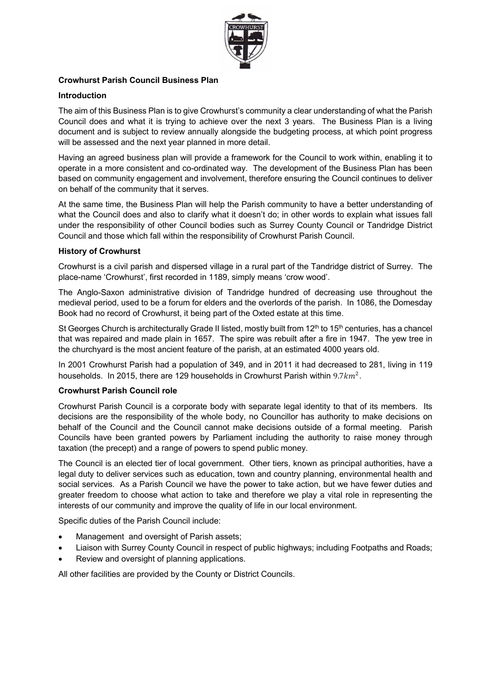

## **Crowhurst Parish Council Business Plan**

#### **Introduction**

The aim of this Business Plan is to give Crowhurst's community a clear understanding of what the Parish Council does and what it is trying to achieve over the next 3 years. The Business Plan is a living document and is subject to review annually alongside the budgeting process, at which point progress will be assessed and the next year planned in more detail.

Having an agreed business plan will provide a framework for the Council to work within, enabling it to operate in a more consistent and co-ordinated way. The development of the Business Plan has been based on community engagement and involvement, therefore ensuring the Council continues to deliver on behalf of the community that it serves.

At the same time, the Business Plan will help the Parish community to have a better understanding of what the Council does and also to clarify what it doesn't do; in other words to explain what issues fall under the responsibility of other Council bodies such as Surrey County Council or Tandridge District Council and those which fall within the responsibility of Crowhurst Parish Council.

#### **History of Crowhurst**

Crowhurst is a civil parish and dispersed village in a rural part of the Tandridge district of Surrey. The place-name 'Crowhurst', first recorded in 1189, simply means 'crow wood'.

The Anglo-Saxon administrative division of Tandridge hundred of decreasing use throughout the medieval period, used to be a forum for elders and the overlords of the parish. In 1086, the Domesday Book had no record of Crowhurst, it being part of the Oxted estate at this time.

St Georges Church is architecturally Grade II listed, mostly built from 12<sup>th</sup> to 15<sup>th</sup> centuries, has a chancel that was repaired and made plain in 1657. The spire was rebuilt after a fire in 1947. The yew tree in the churchyard is the most ancient feature of the parish, at an estimated 4000 years old.

In 2001 Crowhurst Parish had a population of 349, and in 2011 it had decreased to 281, living in 119 households. In 2015, there are 129 households in Crowhurst Parish within  $9.7km^2$ .

#### **Crowhurst Parish Council role**

Crowhurst Parish Council is a corporate body with separate legal identity to that of its members. Its decisions are the responsibility of the whole body, no Councillor has authority to make decisions on behalf of the Council and the Council cannot make decisions outside of a formal meeting. Parish Councils have been granted powers by Parliament including the authority to raise money through taxation (the precept) and a range of powers to spend public money.

The Council is an elected tier of local government. Other tiers, known as principal authorities, have a legal duty to deliver services such as education, town and country planning, environmental health and social services. As a Parish Council we have the power to take action, but we have fewer duties and greater freedom to choose what action to take and therefore we play a vital role in representing the interests of our community and improve the quality of life in our local environment.

Specific duties of the Parish Council include:

- Management and oversight of Parish assets;
- Liaison with Surrey County Council in respect of public highways; including Footpaths and Roads;
- Review and oversight of planning applications.

All other facilities are provided by the County or District Councils.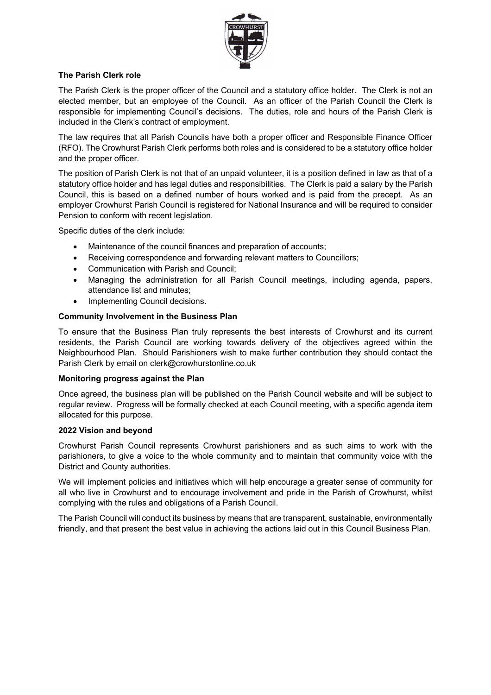

## **The Parish Clerk role**

The Parish Clerk is the proper officer of the Council and a statutory office holder. The Clerk is not an elected member, but an employee of the Council. As an officer of the Parish Council the Clerk is responsible for implementing Council's decisions. The duties, role and hours of the Parish Clerk is included in the Clerk's contract of employment.

The law requires that all Parish Councils have both a proper officer and Responsible Finance Officer (RFO). The Crowhurst Parish Clerk performs both roles and is considered to be a statutory office holder and the proper officer.

The position of Parish Clerk is not that of an unpaid volunteer, it is a position defined in law as that of a statutory office holder and has legal duties and responsibilities. The Clerk is paid a salary by the Parish Council, this is based on a defined number of hours worked and is paid from the precept. As an employer Crowhurst Parish Council is registered for National Insurance and will be required to consider Pension to conform with recent legislation.

Specific duties of the clerk include:

- Maintenance of the council finances and preparation of accounts;
- Receiving correspondence and forwarding relevant matters to Councillors;
- Communication with Parish and Council;
- Managing the administration for all Parish Council meetings, including agenda, papers, attendance list and minutes;
- Implementing Council decisions.

#### **Community Involvement in the Business Plan**

To ensure that the Business Plan truly represents the best interests of Crowhurst and its current residents, the Parish Council are working towards delivery of the objectives agreed within the Neighbourhood Plan. Should Parishioners wish to make further contribution they should contact the Parish Clerk by email on clerk@crowhurstonline.co.uk

#### **Monitoring progress against the Plan**

Once agreed, the business plan will be published on the Parish Council website and will be subject to regular review. Progress will be formally checked at each Council meeting, with a specific agenda item allocated for this purpose.

#### **2022 Vision and beyond**

Crowhurst Parish Council represents Crowhurst parishioners and as such aims to work with the parishioners, to give a voice to the whole community and to maintain that community voice with the District and County authorities.

We will implement policies and initiatives which will help encourage a greater sense of community for all who live in Crowhurst and to encourage involvement and pride in the Parish of Crowhurst, whilst complying with the rules and obligations of a Parish Council.

The Parish Council will conduct its business by means that are transparent, sustainable, environmentally friendly, and that present the best value in achieving the actions laid out in this Council Business Plan.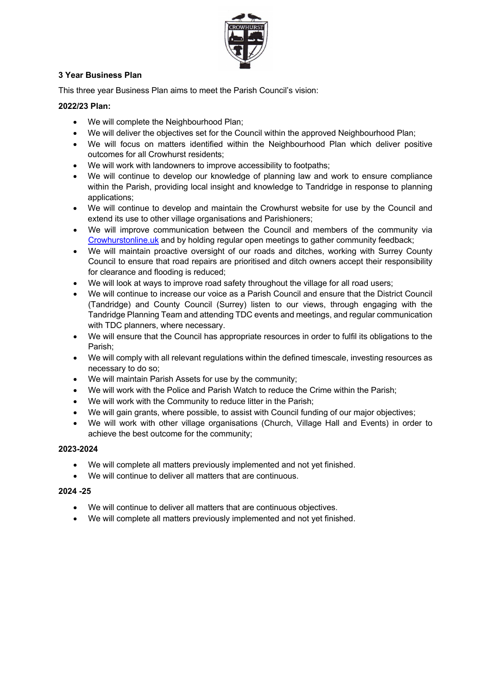

# **3 Year Business Plan**

This three year Business Plan aims to meet the Parish Council's vision:

# **2022/23 Plan:**

- We will complete the Neighbourhood Plan;
- We will deliver the objectives set for the Council within the approved Neighbourhood Plan;
- We will focus on matters identified within the Neighbourhood Plan which deliver positive outcomes for all Crowhurst residents;
- We will work with landowners to improve accessibility to footpaths;
- We will continue to develop our knowledge of planning law and work to ensure compliance within the Parish, providing local insight and knowledge to Tandridge in response to planning applications;
- We will continue to develop and maintain the Crowhurst website for use by the Council and extend its use to other village organisations and Parishioners;
- We will improve communication between the Council and members of the community via Crowhurstonline.uk and by holding regular open meetings to gather community feedback;
- We will maintain proactive oversight of our roads and ditches, working with Surrey County Council to ensure that road repairs are prioritised and ditch owners accept their responsibility for clearance and flooding is reduced;
- We will look at ways to improve road safety throughout the village for all road users;
- We will continue to increase our voice as a Parish Council and ensure that the District Council (Tandridge) and County Council (Surrey) listen to our views, through engaging with the Tandridge Planning Team and attending TDC events and meetings, and regular communication with TDC planners, where necessary.
- We will ensure that the Council has appropriate resources in order to fulfil its obligations to the Parish;
- We will comply with all relevant regulations within the defined timescale, investing resources as necessary to do so;
- We will maintain Parish Assets for use by the community;
- We will work with the Police and Parish Watch to reduce the Crime within the Parish;
- We will work with the Community to reduce litter in the Parish;
- We will gain grants, where possible, to assist with Council funding of our major objectives;
- We will work with other village organisations (Church, Village Hall and Events) in order to achieve the best outcome for the community;

# **2023-2024**

- We will complete all matters previously implemented and not yet finished.
- We will continue to deliver all matters that are continuous.

# **2024 -25**

- We will continue to deliver all matters that are continuous objectives.
- We will complete all matters previously implemented and not yet finished.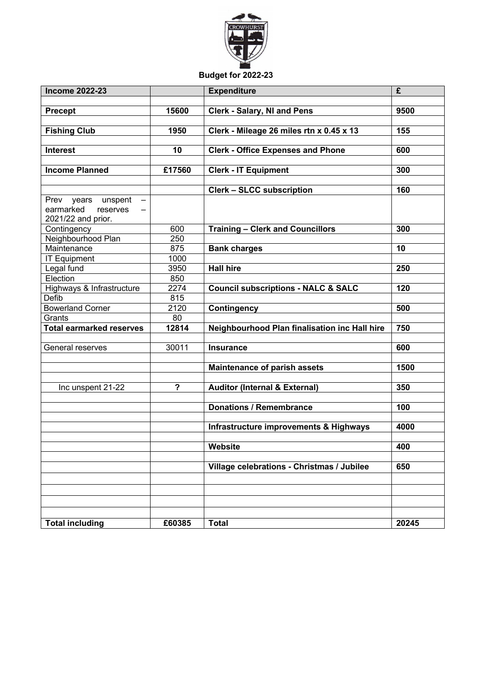

# **Budget for 2022-23**

| 15600<br>9500<br><b>Precept</b><br><b>Clerk - Salary, NI and Pens</b><br><b>Fishing Club</b><br>1950<br>Clerk - Mileage 26 miles rtn x 0.45 x 13<br>155<br><b>Clerk - Office Expenses and Phone</b><br>600<br><b>Interest</b><br>10<br>£17560<br>300<br><b>Income Planned</b><br><b>Clerk - IT Equipment</b><br>160<br><b>Clerk - SLCC subscription</b><br>Prev years unspent<br>$\overline{\phantom{m}}$<br>earmarked<br>reserves<br>2021/22 and prior.<br>300<br>600<br><b>Training - Clerk and Councillors</b><br>Contingency<br>Neighbourhood Plan<br>250<br>875<br>Maintenance<br><b>Bank charges</b><br>10<br>1000<br><b>IT Equipment</b><br><b>Hall hire</b><br>250<br>3950<br>Legal fund<br>Election<br>850<br>Highways & Infrastructure<br>2274<br>120<br><b>Council subscriptions - NALC &amp; SALC</b><br>815<br>Defib<br><b>Bowerland Corner</b><br>2120<br><b>Contingency</b><br>500<br>Grants<br>80<br><b>Total earmarked reserves</b><br>12814<br>750<br>Neighbourhood Plan finalisation inc Hall hire<br>General reserves<br>30011<br>600<br><b>Insurance</b><br>1500<br><b>Maintenance of parish assets</b><br>350<br>$\boldsymbol{\mathsf{?}}$<br><b>Auditor (Internal &amp; External)</b><br>Inc unspent 21-22<br><b>Donations / Remembrance</b><br>100<br>Infrastructure improvements & Highways<br>4000<br>Website<br>400<br>Village celebrations - Christmas / Jubilee<br>650 | <b>Income 2022-23</b>  |        | <b>Expenditure</b> | £     |
|-----------------------------------------------------------------------------------------------------------------------------------------------------------------------------------------------------------------------------------------------------------------------------------------------------------------------------------------------------------------------------------------------------------------------------------------------------------------------------------------------------------------------------------------------------------------------------------------------------------------------------------------------------------------------------------------------------------------------------------------------------------------------------------------------------------------------------------------------------------------------------------------------------------------------------------------------------------------------------------------------------------------------------------------------------------------------------------------------------------------------------------------------------------------------------------------------------------------------------------------------------------------------------------------------------------------------------------------------------------------------------------------------------|------------------------|--------|--------------------|-------|
|                                                                                                                                                                                                                                                                                                                                                                                                                                                                                                                                                                                                                                                                                                                                                                                                                                                                                                                                                                                                                                                                                                                                                                                                                                                                                                                                                                                                     |                        |        |                    |       |
|                                                                                                                                                                                                                                                                                                                                                                                                                                                                                                                                                                                                                                                                                                                                                                                                                                                                                                                                                                                                                                                                                                                                                                                                                                                                                                                                                                                                     |                        |        |                    |       |
|                                                                                                                                                                                                                                                                                                                                                                                                                                                                                                                                                                                                                                                                                                                                                                                                                                                                                                                                                                                                                                                                                                                                                                                                                                                                                                                                                                                                     |                        |        |                    |       |
|                                                                                                                                                                                                                                                                                                                                                                                                                                                                                                                                                                                                                                                                                                                                                                                                                                                                                                                                                                                                                                                                                                                                                                                                                                                                                                                                                                                                     |                        |        |                    |       |
|                                                                                                                                                                                                                                                                                                                                                                                                                                                                                                                                                                                                                                                                                                                                                                                                                                                                                                                                                                                                                                                                                                                                                                                                                                                                                                                                                                                                     |                        |        |                    |       |
|                                                                                                                                                                                                                                                                                                                                                                                                                                                                                                                                                                                                                                                                                                                                                                                                                                                                                                                                                                                                                                                                                                                                                                                                                                                                                                                                                                                                     |                        |        |                    |       |
|                                                                                                                                                                                                                                                                                                                                                                                                                                                                                                                                                                                                                                                                                                                                                                                                                                                                                                                                                                                                                                                                                                                                                                                                                                                                                                                                                                                                     |                        |        |                    |       |
|                                                                                                                                                                                                                                                                                                                                                                                                                                                                                                                                                                                                                                                                                                                                                                                                                                                                                                                                                                                                                                                                                                                                                                                                                                                                                                                                                                                                     |                        |        |                    |       |
|                                                                                                                                                                                                                                                                                                                                                                                                                                                                                                                                                                                                                                                                                                                                                                                                                                                                                                                                                                                                                                                                                                                                                                                                                                                                                                                                                                                                     |                        |        |                    |       |
|                                                                                                                                                                                                                                                                                                                                                                                                                                                                                                                                                                                                                                                                                                                                                                                                                                                                                                                                                                                                                                                                                                                                                                                                                                                                                                                                                                                                     |                        |        |                    |       |
|                                                                                                                                                                                                                                                                                                                                                                                                                                                                                                                                                                                                                                                                                                                                                                                                                                                                                                                                                                                                                                                                                                                                                                                                                                                                                                                                                                                                     |                        |        |                    |       |
|                                                                                                                                                                                                                                                                                                                                                                                                                                                                                                                                                                                                                                                                                                                                                                                                                                                                                                                                                                                                                                                                                                                                                                                                                                                                                                                                                                                                     |                        |        |                    |       |
|                                                                                                                                                                                                                                                                                                                                                                                                                                                                                                                                                                                                                                                                                                                                                                                                                                                                                                                                                                                                                                                                                                                                                                                                                                                                                                                                                                                                     |                        |        |                    |       |
|                                                                                                                                                                                                                                                                                                                                                                                                                                                                                                                                                                                                                                                                                                                                                                                                                                                                                                                                                                                                                                                                                                                                                                                                                                                                                                                                                                                                     |                        |        |                    |       |
|                                                                                                                                                                                                                                                                                                                                                                                                                                                                                                                                                                                                                                                                                                                                                                                                                                                                                                                                                                                                                                                                                                                                                                                                                                                                                                                                                                                                     |                        |        |                    |       |
|                                                                                                                                                                                                                                                                                                                                                                                                                                                                                                                                                                                                                                                                                                                                                                                                                                                                                                                                                                                                                                                                                                                                                                                                                                                                                                                                                                                                     |                        |        |                    |       |
|                                                                                                                                                                                                                                                                                                                                                                                                                                                                                                                                                                                                                                                                                                                                                                                                                                                                                                                                                                                                                                                                                                                                                                                                                                                                                                                                                                                                     |                        |        |                    |       |
|                                                                                                                                                                                                                                                                                                                                                                                                                                                                                                                                                                                                                                                                                                                                                                                                                                                                                                                                                                                                                                                                                                                                                                                                                                                                                                                                                                                                     |                        |        |                    |       |
|                                                                                                                                                                                                                                                                                                                                                                                                                                                                                                                                                                                                                                                                                                                                                                                                                                                                                                                                                                                                                                                                                                                                                                                                                                                                                                                                                                                                     |                        |        |                    |       |
|                                                                                                                                                                                                                                                                                                                                                                                                                                                                                                                                                                                                                                                                                                                                                                                                                                                                                                                                                                                                                                                                                                                                                                                                                                                                                                                                                                                                     |                        |        |                    |       |
|                                                                                                                                                                                                                                                                                                                                                                                                                                                                                                                                                                                                                                                                                                                                                                                                                                                                                                                                                                                                                                                                                                                                                                                                                                                                                                                                                                                                     |                        |        |                    |       |
|                                                                                                                                                                                                                                                                                                                                                                                                                                                                                                                                                                                                                                                                                                                                                                                                                                                                                                                                                                                                                                                                                                                                                                                                                                                                                                                                                                                                     |                        |        |                    |       |
|                                                                                                                                                                                                                                                                                                                                                                                                                                                                                                                                                                                                                                                                                                                                                                                                                                                                                                                                                                                                                                                                                                                                                                                                                                                                                                                                                                                                     |                        |        |                    |       |
|                                                                                                                                                                                                                                                                                                                                                                                                                                                                                                                                                                                                                                                                                                                                                                                                                                                                                                                                                                                                                                                                                                                                                                                                                                                                                                                                                                                                     |                        |        |                    |       |
|                                                                                                                                                                                                                                                                                                                                                                                                                                                                                                                                                                                                                                                                                                                                                                                                                                                                                                                                                                                                                                                                                                                                                                                                                                                                                                                                                                                                     |                        |        |                    |       |
|                                                                                                                                                                                                                                                                                                                                                                                                                                                                                                                                                                                                                                                                                                                                                                                                                                                                                                                                                                                                                                                                                                                                                                                                                                                                                                                                                                                                     |                        |        |                    |       |
|                                                                                                                                                                                                                                                                                                                                                                                                                                                                                                                                                                                                                                                                                                                                                                                                                                                                                                                                                                                                                                                                                                                                                                                                                                                                                                                                                                                                     |                        |        |                    |       |
|                                                                                                                                                                                                                                                                                                                                                                                                                                                                                                                                                                                                                                                                                                                                                                                                                                                                                                                                                                                                                                                                                                                                                                                                                                                                                                                                                                                                     |                        |        |                    |       |
|                                                                                                                                                                                                                                                                                                                                                                                                                                                                                                                                                                                                                                                                                                                                                                                                                                                                                                                                                                                                                                                                                                                                                                                                                                                                                                                                                                                                     |                        |        |                    |       |
|                                                                                                                                                                                                                                                                                                                                                                                                                                                                                                                                                                                                                                                                                                                                                                                                                                                                                                                                                                                                                                                                                                                                                                                                                                                                                                                                                                                                     |                        |        |                    |       |
|                                                                                                                                                                                                                                                                                                                                                                                                                                                                                                                                                                                                                                                                                                                                                                                                                                                                                                                                                                                                                                                                                                                                                                                                                                                                                                                                                                                                     |                        |        |                    |       |
|                                                                                                                                                                                                                                                                                                                                                                                                                                                                                                                                                                                                                                                                                                                                                                                                                                                                                                                                                                                                                                                                                                                                                                                                                                                                                                                                                                                                     |                        |        |                    |       |
|                                                                                                                                                                                                                                                                                                                                                                                                                                                                                                                                                                                                                                                                                                                                                                                                                                                                                                                                                                                                                                                                                                                                                                                                                                                                                                                                                                                                     |                        |        |                    |       |
|                                                                                                                                                                                                                                                                                                                                                                                                                                                                                                                                                                                                                                                                                                                                                                                                                                                                                                                                                                                                                                                                                                                                                                                                                                                                                                                                                                                                     |                        |        |                    |       |
|                                                                                                                                                                                                                                                                                                                                                                                                                                                                                                                                                                                                                                                                                                                                                                                                                                                                                                                                                                                                                                                                                                                                                                                                                                                                                                                                                                                                     |                        |        |                    |       |
|                                                                                                                                                                                                                                                                                                                                                                                                                                                                                                                                                                                                                                                                                                                                                                                                                                                                                                                                                                                                                                                                                                                                                                                                                                                                                                                                                                                                     |                        |        |                    |       |
|                                                                                                                                                                                                                                                                                                                                                                                                                                                                                                                                                                                                                                                                                                                                                                                                                                                                                                                                                                                                                                                                                                                                                                                                                                                                                                                                                                                                     |                        |        |                    |       |
|                                                                                                                                                                                                                                                                                                                                                                                                                                                                                                                                                                                                                                                                                                                                                                                                                                                                                                                                                                                                                                                                                                                                                                                                                                                                                                                                                                                                     |                        |        |                    |       |
|                                                                                                                                                                                                                                                                                                                                                                                                                                                                                                                                                                                                                                                                                                                                                                                                                                                                                                                                                                                                                                                                                                                                                                                                                                                                                                                                                                                                     |                        |        |                    |       |
|                                                                                                                                                                                                                                                                                                                                                                                                                                                                                                                                                                                                                                                                                                                                                                                                                                                                                                                                                                                                                                                                                                                                                                                                                                                                                                                                                                                                     | <b>Total including</b> | £60385 | <b>Total</b>       | 20245 |